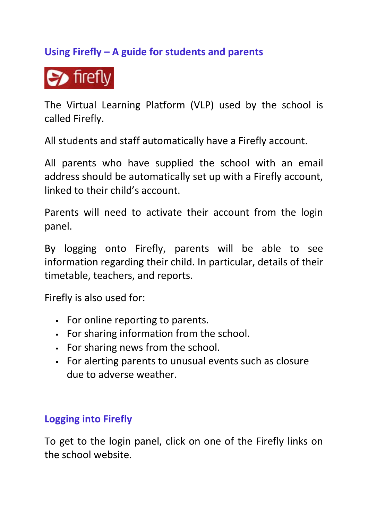# **Using Firefly – A guide for students and parents**

 $\bullet$  firefly

The Virtual Learning Platform (VLP) used by the school is called Firefly.

All students and staff automatically have a Firefly account.

All parents who have supplied the school with an email address should be automatically set up with a Firefly account, linked to their child's account.

Parents will need to activate their account from the login panel.

By logging onto Firefly, parents will be able to see information regarding their child. In particular, details of their timetable, teachers, and reports.

Firefly is also used for:

- For online reporting to parents.
- For sharing information from the school.
- For sharing news from the school.
- For alerting parents to unusual events such as closure due to adverse weather.

#### **Logging into Firefly**

To get to the login panel, click on one of the Firefly links on the school website.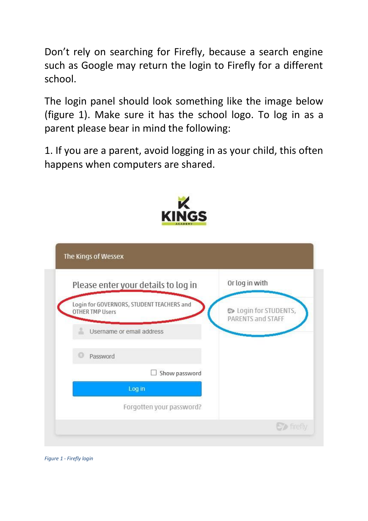Don't rely on searching for Firefly, because a search engine such as Google may return the login to Firefly for a different school.

The login panel should look something like the image below (figure 1). Make sure it has the school logo. To log in as a parent please bear in mind the following:

1. If you are a parent, avoid logging in as your child, this often happens when computers are shared.



| Please enter your details to log in                                 | Or log in with                                    |
|---------------------------------------------------------------------|---------------------------------------------------|
| Login for GOVERNORS, STUDENT TEACHERS and<br><b>OTHER TMP Users</b> | <b>@</b> Login for STUDENTS,<br>PARENTS and STAFF |
| Username or email address                                           |                                                   |
| Password                                                            |                                                   |
| Show password                                                       |                                                   |
| Log in                                                              |                                                   |
| Forgotten your password?                                            |                                                   |

*Figure 1 - Firefly login*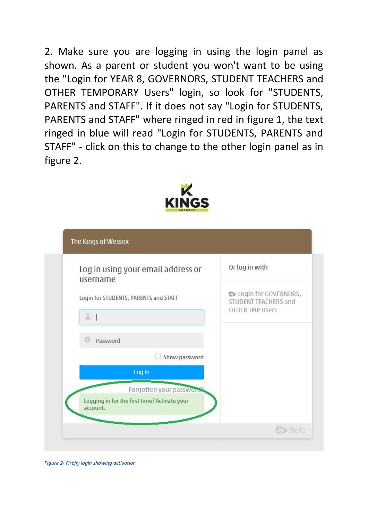2. Make sure you are logging in using the login panel as shown. As a parent or student you won't want to be using the "Login for YEAR 8, GOVERNORS, STUDENT TEACHERS and OTHER TEMPORARY Users" login, so look for "STUDENTS, PARENTS and STAFF". If it does not say "Login for STUDENTS, PARENTS and STAFF" where ringed in red in figure 1, the text ringed in blue will read "Login for STUDENTS, PARENTS and STAFF" - click on this to change to the other login panel as in figure 2.



| Log in using your email address or<br>username           | Or log in with                                        |
|----------------------------------------------------------|-------------------------------------------------------|
| Login for STUDENTS, PARENTS and STAFF                    | <b>C</b> Login for GOVERNORS,<br>STUDENT TEACHERS and |
| $\frac{0}{m}$                                            | <b>OTHER TMP Users</b>                                |
| Password                                                 |                                                       |
| Show password                                            |                                                       |
| Log in                                                   |                                                       |
| Forgotten your password                                  |                                                       |
| Logging in for the first time? Activate your<br>account. |                                                       |
|                                                          | <b>C</b> firefly                                      |

*Figure 2- Firefly login showing activation*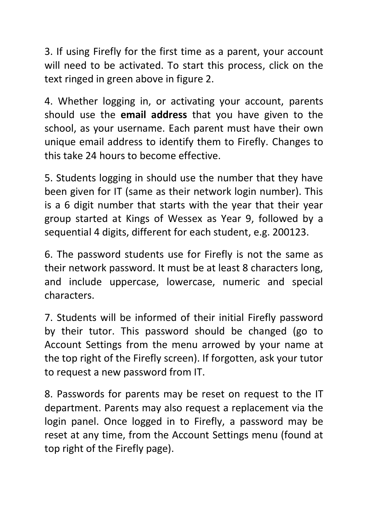3. If using Firefly for the first time as a parent, your account will need to be activated. To start this process, click on the text ringed in green above in figure 2.

4. Whether logging in, or activating your account, parents should use the **email address** that you have given to the school, as your username. Each parent must have their own unique email address to identify them to Firefly. Changes to this take 24 hours to become effective.

5. Students logging in should use the number that they have been given for IT (same as their network login number). This is a 6 digit number that starts with the year that their year group started at Kings of Wessex as Year 9, followed by a sequential 4 digits, different for each student, e.g. 200123.

6. The password students use for Firefly is not the same as their network password. It must be at least 8 characters long, and include uppercase, lowercase, numeric and special characters.

7. Students will be informed of their initial Firefly password by their tutor. This password should be changed (go to Account Settings from the menu arrowed by your name at the top right of the Firefly screen). If forgotten, ask your tutor to request a new password from IT.

8. Passwords for parents may be reset on request to the IT department. Parents may also request a replacement via the login panel. Once logged in to Firefly, a password may be reset at any time, from the Account Settings menu (found at top right of the Firefly page).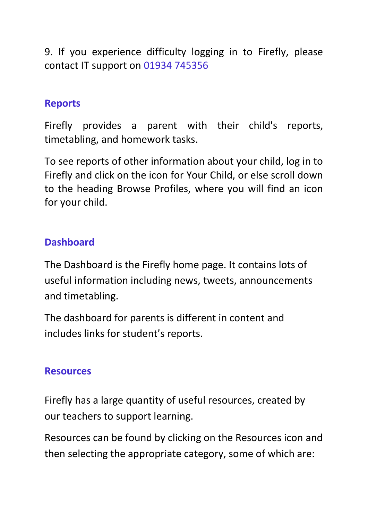9. If you experience difficulty logging in to Firefly, please contact IT support on 01934 745356

#### **Reports**

Firefly provides a parent with their child's reports, timetabling, and homework tasks.

To see reports of other information about your child, log in to Firefly and click on the icon for Your Child, or else scroll down to the heading Browse Profiles, where you will find an icon for your child.

### **Dashboard**

The Dashboard is the Firefly home page. It contains lots of useful information including news, tweets, announcements and timetabling.

The dashboard for parents is different in content and includes links for student's reports.

#### **Resources**

Firefly has a large quantity of useful resources, created by our teachers to support learning.

Resources can be found by clicking on the Resources icon and then selecting the appropriate category, some of which are: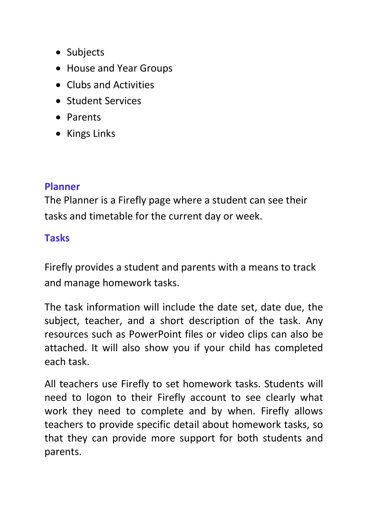- Subjects
- House and Year Groups
- Clubs and Activities
- Student Services
- Parents
- Kings Links

#### **Planner**

The Planner is a Firefly page where a student can see their tasks and timetable for the current day or week.

### **Tasks**

Firefly provides a student and parents with a means to track and manage homework tasks.

The task information will include the date set, date due, the subject, teacher, and a short description of the task. Any resources such as PowerPoint files or video clips can also be attached. It will also show you if your child has completed each task.

All teachers use Firefly to set homework tasks. Students will need to logon to their Firefly account to see clearly what work they need to complete and by when. Firefly allows teachers to provide specific detail about homework tasks, so that they can provide more support for both students and parents.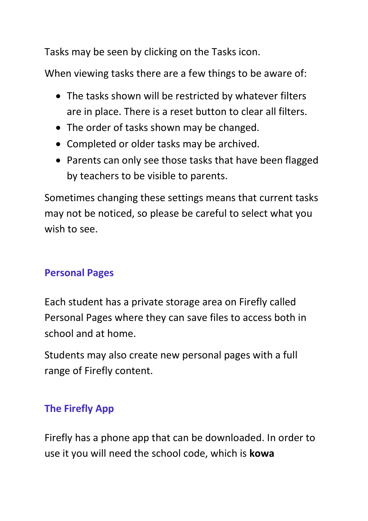Tasks may be seen by clicking on the Tasks icon.

When viewing tasks there are a few things to be aware of:

- The tasks shown will be restricted by whatever filters are in place. There is a reset button to clear all filters.
- The order of tasks shown may be changed.
- Completed or older tasks may be archived.
- Parents can only see those tasks that have been flagged by teachers to be visible to parents.

Sometimes changing these settings means that current tasks may not be noticed, so please be careful to select what you wish to see.

#### **Personal Pages**

Each student has a private storage area on Firefly called Personal Pages where they can save files to access both in school and at home.

Students may also create new personal pages with a full range of Firefly content.

# **The Firefly App**

Firefly has a phone app that can be downloaded. In order to use it you will need the school code, which is **kowa**